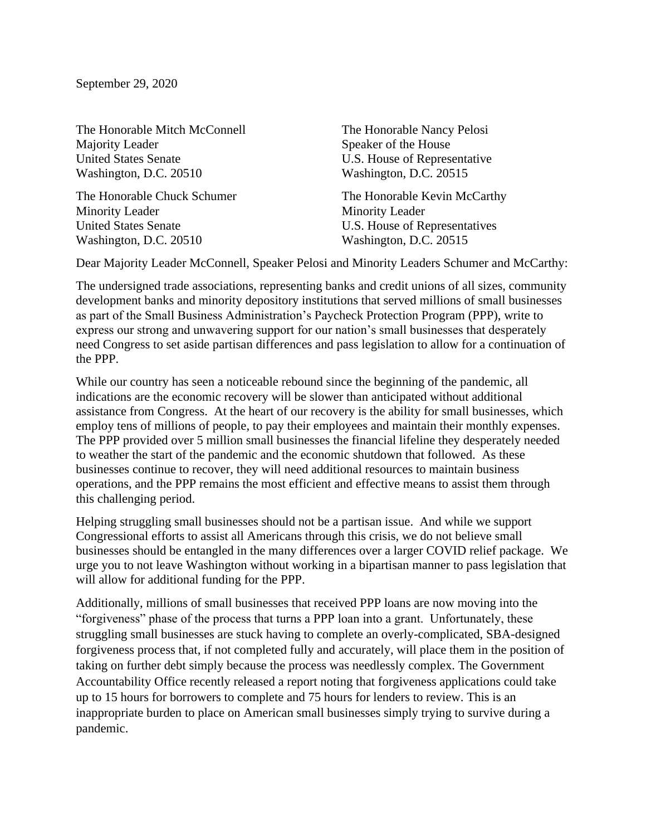September 29, 2020

The Honorable Mitch McConnell The Honorable Nancy Pelosi Majority Leader Speaker of the House United States Senate **U.S.** House of Representative Washington, D.C. 20510 Washington, D.C. 20515

Minority Leader Minority Leader United States Senate **U.S. House of Representatives** Washington, D.C. 20510 Washington, D.C. 20515

The Honorable Chuck Schumer The Honorable Kevin McCarthy

Dear Majority Leader McConnell, Speaker Pelosi and Minority Leaders Schumer and McCarthy:

The undersigned trade associations, representing banks and credit unions of all sizes, community development banks and minority depository institutions that served millions of small businesses as part of the Small Business Administration's Paycheck Protection Program (PPP), write to express our strong and unwavering support for our nation's small businesses that desperately need Congress to set aside partisan differences and pass legislation to allow for a continuation of the PPP.

While our country has seen a noticeable rebound since the beginning of the pandemic, all indications are the economic recovery will be slower than anticipated without additional assistance from Congress. At the heart of our recovery is the ability for small businesses, which employ tens of millions of people, to pay their employees and maintain their monthly expenses. The PPP provided over 5 million small businesses the financial lifeline they desperately needed to weather the start of the pandemic and the economic shutdown that followed. As these businesses continue to recover, they will need additional resources to maintain business operations, and the PPP remains the most efficient and effective means to assist them through this challenging period.

Helping struggling small businesses should not be a partisan issue. And while we support Congressional efforts to assist all Americans through this crisis, we do not believe small businesses should be entangled in the many differences over a larger COVID relief package. We urge you to not leave Washington without working in a bipartisan manner to pass legislation that will allow for additional funding for the PPP.

Additionally, millions of small businesses that received PPP loans are now moving into the "forgiveness" phase of the process that turns a PPP loan into a grant. Unfortunately, these struggling small businesses are stuck having to complete an overly-complicated, SBA-designed forgiveness process that, if not completed fully and accurately, will place them in the position of taking on further debt simply because the process was needlessly complex. The Government Accountability Office recently released a report noting that forgiveness applications could take up to 15 hours for borrowers to complete and 75 hours for lenders to review. This is an inappropriate burden to place on American small businesses simply trying to survive during a pandemic.